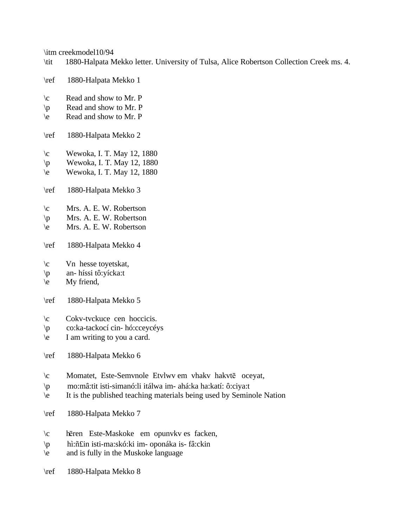\itm creekmodel10/94

- \tit 1880-Halpata Mekko letter. University of Tulsa, Alice Robertson Collection Creek ms. 4.
- \ref 1880-Halpata Mekko 1
- $\c$  Read and show to Mr. P
- $\pmb{\rho}$  Read and show to Mr. P
- \e Read and show to Mr. P
- \ref 1880-Halpata Mekko 2
- \c Wewoka, I. T. May 12, 1880
- \p Wewoka, I. T. May 12, 1880
- \e Wewoka, I. T. May 12, 1880
- \ref 1880-Halpata Mekko 3
- \c Mrs. A. E. W. Robertson
- \p Mrs. A. E. W. Robertson
- \e Mrs. A. E. W. Robertson
- \ref 1880-Halpata Mekko 4
- $\c$  Vn hesse toyetskat,
- \p an- híssi tô:yícka:t
- $\leq$  My friend,
- \ref 1880-Halpata Mekko 5
- \c Cokv-tvckuce cen hoccicis.
- \p co:ka-tackocí cin- hó:cceycéys
- \e I am writing to you a card.
- \ref 1880-Halpata Mekko 6
- \c Momatet, Este-Semvnole Etvlwv em vhakv hakvtē oceyat,
- \p mo:mâ:tit isti-simanó:li itálwa im- ahá:ka ha:katí: ô:ciya:t
- \e It is the published teaching materials being used by Seminole Nation
- \ref 1880-Halpata Mekko 7
- \c h¬ren Este-Maskoke em opunvkv es facken,
- \p hì:ñ£in isti-ma:skó:ki im- oponáka is- fâ:ckin
- \e and is fully in the Muskoke language
- \ref 1880-Halpata Mekko 8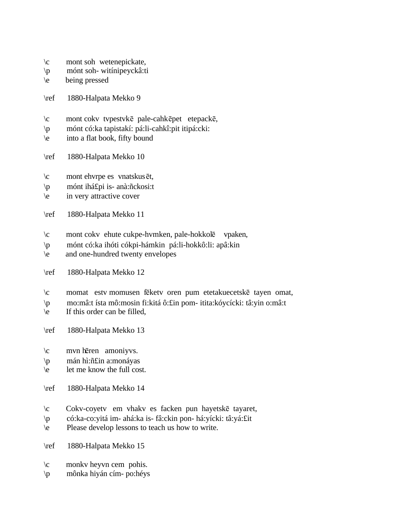- \c mont soh wetenepickate,
- \p mónt soh- witínipeyckâ:ti
- \e being pressed
- \ref 1880-Halpata Mekko 9
- \c mont cokv tvpestvkē pale-cahkēpet etepackē,
- \p mónt có:ka tapistakí: pá:li-cahkî:pit itipá:cki:
- \e into a flat book, fifty bound
- \ref 1880-Halpata Mekko 10
- $\c$  mont ehvrpe es vnatskus  $\bar{e}t$ ,
- \p mónt ihá£pi is- anà:ñckosi:t
- \e in very attractive cover
- \ref 1880-Halpata Mekko 11
- $\c$  mont cokv ehute cukpe-hvmken, pale-hokkolē vpaken,
- \p mónt có:ka ihóti cókpi-hámkin pá:li-hokkô:li: apâ:kin
- \e and one-hundred twenty envelopes
- \ref 1880-Halpata Mekko 12
- \c momat estv momusen fēketv oren pum etetakuecetskē tayen omat,
- \p mo:mâ:t ísta mô:mosin fi:kitá ô:£in pom- itita:kóycícki: tâ:yin o:mâ:t
- \e If this order can be filled,
- \ref 1880-Halpata Mekko 13
- $\c$  mvn hēren amoniyvs.
- \p mán hì:ñ£in a:monáyas
- \e let me know the full cost.
- \ref 1880-Halpata Mekko 14
- \c Cokv-coyetv em vhakv es facken pun hayetskē tayaret,
- \p có:ka-co:yitá im- ahá:ka is- fâ:ckin pon- há:yícki: tâ:yá:£it
- \e Please develop lessons to teach us how to write.
- \ref 1880-Halpata Mekko 15
- \c monkv heyvn cem pohis.
- \p mônka hiyán cím- po:héys